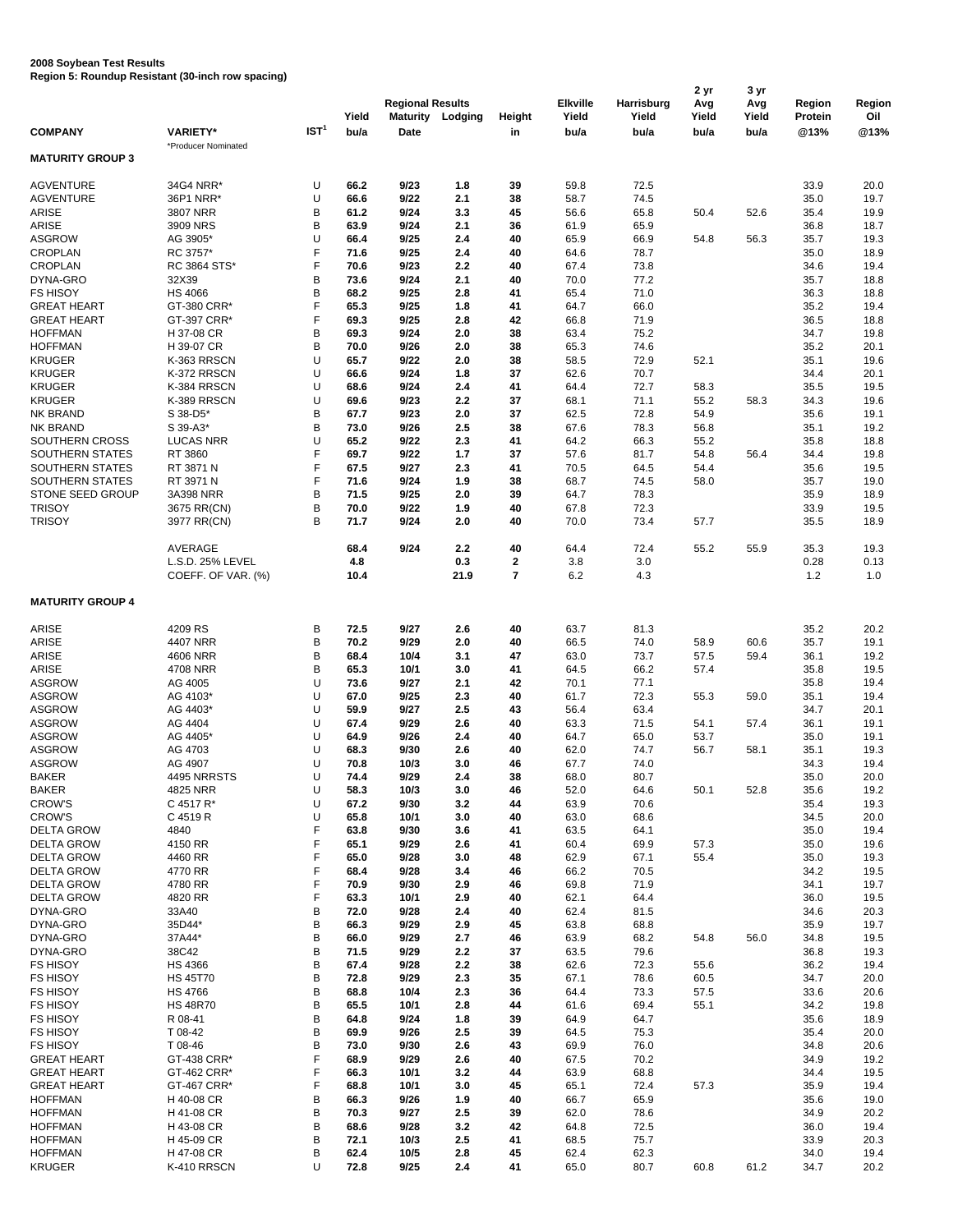## **2008 Soybean Test Results**

**Region 5: Roundup Resistant (30-inch row spacing)**

|                         |                     |          |       |                         |                         |              |                 |            | 2 yr  | 3 yr  |         | Region |
|-------------------------|---------------------|----------|-------|-------------------------|-------------------------|--------------|-----------------|------------|-------|-------|---------|--------|
|                         |                     |          |       | <b>Regional Results</b> |                         |              | <b>Elkville</b> | Harrisburg | Avg   | Avg   | Region  |        |
|                         |                     |          | Yield |                         | <b>Maturity Lodging</b> | Height       | Yield           | Yield      | Yield | Yield | Protein | Oil    |
| <b>COMPANY</b>          | <b>VARIETY*</b>     | IST $^1$ | bu/a  | Date                    |                         | in           | bu/a            | bu/a       | bu/a  | bu/a  | @13%    | @13%   |
|                         | *Producer Nominated |          |       |                         |                         |              |                 |            |       |       |         |        |
| <b>MATURITY GROUP 3</b> |                     |          |       |                         |                         |              |                 |            |       |       |         |        |
|                         |                     |          |       |                         |                         |              |                 |            |       |       |         |        |
| <b>AGVENTURE</b>        | 34G4 NRR*           | U        | 66.2  | 9/23                    | 1.8                     | 39           | 59.8            | 72.5       |       |       | 33.9    | 20.0   |
| <b>AGVENTURE</b>        | 36P1 NRR*           | U        | 66.6  | 9/22                    | 2.1                     | 38           | 58.7            | 74.5       |       |       | 35.0    | 19.7   |
|                         |                     |          |       |                         |                         |              |                 |            |       |       |         |        |
| <b>ARISE</b>            | 3807 NRR            | B        | 61.2  | 9/24                    | 3.3                     | 45           | 56.6            | 65.8       | 50.4  | 52.6  | 35.4    | 19.9   |
| <b>ARISE</b>            | 3909 NRS            | B        | 63.9  | 9/24                    | 2.1                     | 36           | 61.9            | 65.9       |       |       | 36.8    | 18.7   |
| <b>ASGROW</b>           | AG 3905*            | U        | 66.4  | 9/25                    | 2.4                     | 40           | 65.9            | 66.9       | 54.8  | 56.3  | 35.7    | 19.3   |
| <b>CROPLAN</b>          | RC 3757*            | F        | 71.6  | 9/25                    | 2.4                     | 40           | 64.6            | 78.7       |       |       | 35.0    | 18.9   |
| <b>CROPLAN</b>          | RC 3864 STS*        | F        | 70.6  | 9/23                    | 2.2                     | 40           | 67.4            | 73.8       |       |       | 34.6    | 19.4   |
| DYNA-GRO                | 32X39               | B        | 73.6  | 9/24                    | 2.1                     | 40           | 70.0            | 77.2       |       |       | 35.7    | 18.8   |
| <b>FS HISOY</b>         | <b>HS 4066</b>      | B        | 68.2  | 9/25                    | 2.8                     | 41           | 65.4            | 71.0       |       |       | 36.3    | 18.8   |
| <b>GREAT HEART</b>      | GT-380 CRR*         | F        | 65.3  | 9/25                    | 1.8                     | 41           | 64.7            | 66.0       |       |       | 35.2    | 19.4   |
|                         |                     | F        |       | 9/25                    | 2.8                     |              |                 |            |       |       |         |        |
| <b>GREAT HEART</b>      | GT-397 CRR*         |          | 69.3  |                         |                         | 42           | 66.8            | 71.9       |       |       | 36.5    | 18.8   |
| <b>HOFFMAN</b>          | H 37-08 CR          | В        | 69.3  | 9/24                    | 2.0                     | 38           | 63.4            | 75.2       |       |       | 34.7    | 19.8   |
| <b>HOFFMAN</b>          | H 39-07 CR          | B        | 70.0  | 9/26                    | 2.0                     | 38           | 65.3            | 74.6       |       |       | 35.2    | 20.1   |
| <b>KRUGER</b>           | K-363 RRSCN         | U        | 65.7  | 9/22                    | 2.0                     | 38           | 58.5            | 72.9       | 52.1  |       | 35.1    | 19.6   |
| <b>KRUGER</b>           | K-372 RRSCN         | U        | 66.6  | 9/24                    | 1.8                     | 37           | 62.6            | 70.7       |       |       | 34.4    | 20.1   |
| <b>KRUGER</b>           | K-384 RRSCN         | U        | 68.6  | 9/24                    | 2.4                     | 41           | 64.4            | 72.7       | 58.3  |       | 35.5    | 19.5   |
| <b>KRUGER</b>           | K-389 RRSCN         | U        | 69.6  | 9/23                    | 2.2                     | 37           | 68.1            | 71.1       | 55.2  | 58.3  | 34.3    | 19.6   |
| <b>NK BRAND</b>         | S 38-D5*            | B        | 67.7  | 9/23                    | 2.0                     | 37           | 62.5            | 72.8       | 54.9  |       | 35.6    | 19.1   |
| <b>NK BRAND</b>         | S 39-A3*            | B        | 73.0  | 9/26                    | 2.5                     | 38           | 67.6            | 78.3       |       |       | 35.1    | 19.2   |
|                         |                     |          |       |                         |                         |              |                 |            | 56.8  |       |         |        |
| SOUTHERN CROSS          | <b>LUCAS NRR</b>    | U        | 65.2  | 9/22                    | 2.3                     | 41           | 64.2            | 66.3       | 55.2  |       | 35.8    | 18.8   |
| <b>SOUTHERN STATES</b>  | RT 3860             | F        | 69.7  | 9/22                    | 1.7                     | 37           | 57.6            | 81.7       | 54.8  | 56.4  | 34.4    | 19.8   |
| <b>SOUTHERN STATES</b>  | RT 3871 N           | F        | 67.5  | 9/27                    | 2.3                     | 41           | 70.5            | 64.5       | 54.4  |       | 35.6    | 19.5   |
| SOUTHERN STATES         | RT 3971 N           | F        | 71.6  | 9/24                    | 1.9                     | 38           | 68.7            | 74.5       | 58.0  |       | 35.7    | 19.0   |
| STONE SEED GROUP        | 3A398 NRR           | B        | 71.5  | 9/25                    | 2.0                     | 39           | 64.7            | 78.3       |       |       | 35.9    | 18.9   |
| <b>TRISOY</b>           | 3675 RR(CN)         | B        | 70.0  | 9/22                    | 1.9                     | 40           | 67.8            | 72.3       |       |       | 33.9    | 19.5   |
| <b>TRISOY</b>           |                     | B        | 71.7  | 9/24                    | 2.0                     | 40           | 70.0            | 73.4       | 57.7  |       |         | 18.9   |
|                         | 3977 RR(CN)         |          |       |                         |                         |              |                 |            |       |       | 35.5    |        |
|                         |                     |          |       |                         |                         |              |                 |            |       |       |         |        |
|                         | <b>AVERAGE</b>      |          | 68.4  | 9/24                    | 2.2                     | 40           | 64.4            | 72.4       | 55.2  | 55.9  | 35.3    | 19.3   |
|                         | L.S.D. 25% LEVEL    |          | 4.8   |                         | 0.3                     | $\mathbf{2}$ | 3.8             | 3.0        |       |       | 0.28    | 0.13   |
|                         | COEFF. OF VAR. (%)  |          | 10.4  |                         | 21.9                    | 7            | 6.2             | 4.3        |       |       | 1.2     | 1.0    |
|                         |                     |          |       |                         |                         |              |                 |            |       |       |         |        |
| <b>MATURITY GROUP 4</b> |                     |          |       |                         |                         |              |                 |            |       |       |         |        |
|                         |                     |          |       |                         |                         |              |                 |            |       |       |         |        |
| ARISE                   | 4209 RS             | В        | 72.5  | 9/27                    | 2.6                     | 40           | 63.7            | 81.3       |       |       | 35.2    | 20.2   |
| ARISE                   | 4407 NRR            | B        | 70.2  | 9/29                    | 2.0                     | 40           | 66.5            | 74.0       | 58.9  | 60.6  | 35.7    | 19.1   |
|                         |                     |          |       |                         |                         |              |                 |            |       |       |         |        |
| <b>ARISE</b>            | 4606 NRR            | B        | 68.4  | 10/4                    | 3.1                     | 47           | 63.0            | 73.7       | 57.5  | 59.4  | 36.1    | 19.2   |
| <b>ARISE</b>            | 4708 NRR            | В        | 65.3  | 10/1                    | 3.0                     | 41           | 64.5            | 66.2       | 57.4  |       | 35.8    | 19.5   |
| <b>ASGROW</b>           | AG 4005             | U        | 73.6  | 9/27                    | 2.1                     | 42           | 70.1            | 77.1       |       |       | 35.8    | 19.4   |
| <b>ASGROW</b>           | AG 4103*            | U        | 67.0  | 9/25                    | 2.3                     | 40           | 61.7            | 72.3       | 55.3  | 59.0  | 35.1    | 19.4   |
| <b>ASGROW</b>           | AG 4403*            | U        | 59.9  | 9/27                    | 2.5                     | 43           | 56.4            | 63.4       |       |       | 34.7    | 20.1   |
| <b>ASGROW</b>           | AG 4404             | U        | 67.4  | 9/29                    | 2.6                     | 40           | 63.3            | 71.5       | 54.1  | 57.4  | 36.1    | 19.1   |
| <b>ASGROW</b>           | AG 4405*            | U        | 64.9  | 9/26                    | 2.4                     | 40           | 64.7            | 65.0       | 53.7  |       | 35.0    | 19.1   |
| <b>ASGROW</b>           |                     | U        |       | 9/30                    | 2.6                     |              |                 |            |       |       |         |        |
|                         | AG 4703             |          | 68.3  |                         |                         | 40           | 62.0            | 74.7       | 56.7  | 58.1  | 35.1    | 19.3   |
| <b>ASGROW</b>           | AG 4907             | U        | 70.8  | 10/3                    | 3.0                     | 46           | 67.7            | 74.0       |       |       | 34.3    | 19.4   |
| <b>BAKER</b>            | 4495 NRRSTS         | U        | 74.4  | 9/29                    | 2.4                     | 38           | 68.0            | 80.7       |       |       | 35.0    | 20.0   |
| <b>BAKER</b>            | 4825 NRR            | U        | 58.3  | 10/3                    | 3.0                     | 46           | 52.0            | 64.6       | 50.1  | 52.8  | 35.6    | 19.2   |
| <b>CROW'S</b>           | C 4517 R*           | U        | 67.2  | 9/30                    | 3.2                     | 44           | 63.9            | 70.6       |       |       | 35.4    | 19.3   |
| <b>CROW'S</b>           | C 4519 R            | U        | 65.8  | 10/1                    | 3.0                     | 40           | 63.0            | 68.6       |       |       | 34.5    | 20.0   |
| <b>DELTA GROW</b>       | 4840                | F        | 63.8  | 9/30                    | 3.6                     | 41           | 63.5            | 64.1       |       |       | 35.0    | 19.4   |
| <b>DELTA GROW</b>       | 4150 RR             | F        | 65.1  | 9/29                    | 2.6                     | 41           | 60.4            | 69.9       | 57.3  |       | 35.0    | 19.6   |
|                         |                     |          |       |                         |                         |              |                 |            |       |       |         |        |
| <b>DELTA GROW</b>       | 4460 RR             | F        | 65.0  | 9/28                    | 3.0                     | 48           | 62.9            | 67.1       | 55.4  |       | 35.0    | 19.3   |
| <b>DELTA GROW</b>       | 4770 RR             | F        | 68.4  | 9/28                    | 3.4                     | 46           | 66.2            | 70.5       |       |       | 34.2    | 19.5   |
| <b>DELTA GROW</b>       | 4780 RR             | F        | 70.9  | 9/30                    | 2.9                     | 46           | 69.8            | 71.9       |       |       | 34.1    | 19.7   |
| <b>DELTA GROW</b>       | 4820 RR             | F        | 63.3  | 10/1                    | 2.9                     | 40           | 62.1            | 64.4       |       |       | 36.0    | 19.5   |
| DYNA-GRO                | 33A40               | В        | 72.0  | 9/28                    | 2.4                     | 40           | 62.4            | 81.5       |       |       | 34.6    | 20.3   |
| DYNA-GRO                | 35D44*              | B        | 66.3  | 9/29                    | 2.9                     | 45           | 63.8            | 68.8       |       |       | 35.9    | 19.7   |
| DYNA-GRO                | 37A44*              | B        | 66.0  | 9/29                    | 2.7                     | 46           | 63.9            | 68.2       | 54.8  | 56.0  | 34.8    | 19.5   |
| DYNA-GRO                | 38C42               | B        | 71.5  | 9/29                    | 2.2                     | 37           | 63.5            | 79.6       |       |       | 36.8    | 19.3   |
|                         |                     |          |       |                         |                         |              |                 |            |       |       |         |        |
| <b>FS HISOY</b>         | <b>HS 4366</b>      | В        | 67.4  | 9/28                    | 2.2                     | 38           | 62.6            | 72.3       | 55.6  |       | 36.2    | 19.4   |
| <b>FS HISOY</b>         | <b>HS 45T70</b>     | B        | 72.8  | 9/29                    | 2.3                     | 35           | 67.1            | 78.6       | 60.5  |       | 34.7    | 20.0   |
| <b>FS HISOY</b>         | <b>HS 4766</b>      | B        | 68.8  | 10/4                    | 2.3                     | 36           | 64.4            | 73.3       | 57.5  |       | 33.6    | 20.6   |
| <b>FS HISOY</b>         | <b>HS 48R70</b>     | В        | 65.5  | 10/1                    | 2.8                     | 44           | 61.6            | 69.4       | 55.1  |       | 34.2    | 19.8   |
| <b>FS HISOY</b>         | R 08-41             | B        | 64.8  | 9/24                    | 1.8                     | 39           | 64.9            | 64.7       |       |       | 35.6    | 18.9   |
| <b>FS HISOY</b>         | T 08-42             | B        | 69.9  | 9/26                    | 2.5                     | 39           | 64.5            | 75.3       |       |       | 35.4    | 20.0   |
| <b>FS HISOY</b>         | T 08-46             | B        | 73.0  | 9/30                    | 2.6                     | 43           | 69.9            | 76.0       |       |       | 34.8    | 20.6   |
| <b>GREAT HEART</b>      | GT-438 CRR*         | F        | 68.9  | 9/29                    | 2.6                     | 40           | 67.5            | 70.2       |       |       | 34.9    | 19.2   |
|                         |                     |          |       |                         |                         |              |                 |            |       |       |         |        |
| <b>GREAT HEART</b>      | GT-462 CRR*         | F        | 66.3  | 10/1                    | 3.2                     | 44           | 63.9            | 68.8       |       |       | 34.4    | 19.5   |
| <b>GREAT HEART</b>      | GT-467 CRR*         | F        | 68.8  | 10/1                    | 3.0                     | 45           | 65.1            | 72.4       | 57.3  |       | 35.9    | 19.4   |
| <b>HOFFMAN</b>          | H 40-08 CR          | B        | 66.3  | 9/26                    | 1.9                     | 40           | 66.7            | 65.9       |       |       | 35.6    | 19.0   |
| <b>HOFFMAN</b>          | H 41-08 CR          | B        | 70.3  | 9/27                    | 2.5                     | 39           | 62.0            | 78.6       |       |       | 34.9    | 20.2   |
| <b>HOFFMAN</b>          | H 43-08 CR          | В        | 68.6  | 9/28                    | 3.2                     | 42           | 64.8            | 72.5       |       |       | 36.0    | 19.4   |
| <b>HOFFMAN</b>          | H 45-09 CR          | B        | 72.1  | 10/3                    | 2.5                     | 41           | 68.5            | 75.7       |       |       | 33.9    | 20.3   |
| <b>HOFFMAN</b>          | H 47-08 CR          | B        | 62.4  | 10/5                    | 2.8                     | 45           | 62.4            | 62.3       |       |       | 34.0    | 19.4   |
| <b>KRUGER</b>           | K-410 RRSCN         | U        | 72.8  | 9/25                    | 2.4                     | 41           | 65.0            | 80.7       | 60.8  | 61.2  | 34.7    | 20.2   |
|                         |                     |          |       |                         |                         |              |                 |            |       |       |         |        |